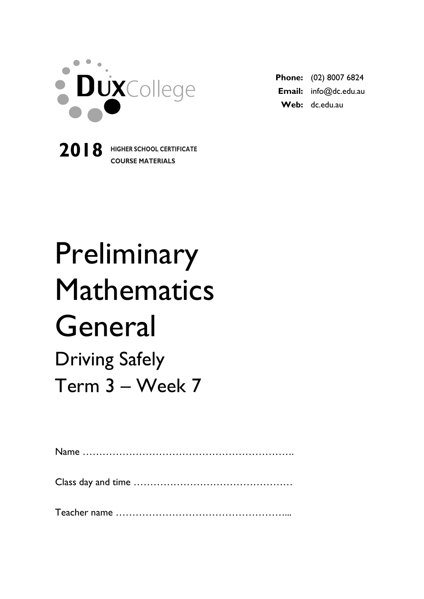

**2018 HIGHER SCHOOL CERTIFICATE**

**COURSE MATERIALS**

**Phone:** (02) 8007 6824 **Email:** info@dc.edu.au **Web:** dc.edu.au

# Preliminary Mathematics General Driving Safely Term 3 – Week 7

Name ………………………………………………………. Class day and time ………………………………………… Teacher name ……………………………………………...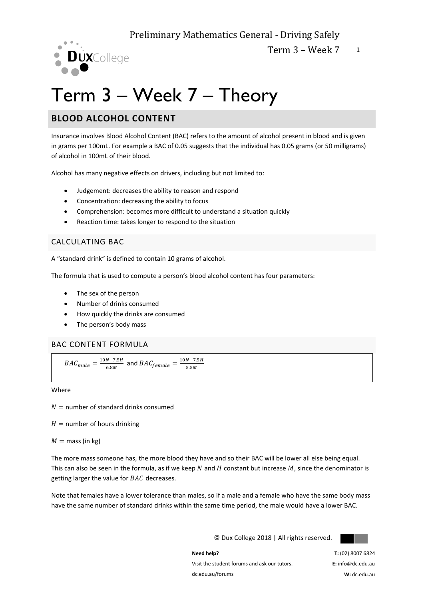

## Term 3 – Week 7 – Theory

## **BLOOD ALCOHOL CONTENT**

Insurance involves Blood Alcohol Content (BAC) refers to the amount of alcohol present in blood and is given in grams per 100mL. For example a BAC of 0.05 suggests that the individual has 0.05 grams (or 50 milligrams) of alcohol in 100mL of their blood.

Alcohol has many negative effects on drivers, including but not limited to:

- Judgement: decreases the ability to reason and respond
- Concentration: decreasing the ability to focus
- Comprehension: becomes more difficult to understand a situation quickly
- Reaction time: takes longer to respond to the situation

## CALCULATING BAC

A "standard drink" is defined to contain 10 grams of alcohol.

The formula that is used to compute a person's blood alcohol content has four parameters:

- The sex of the person
- Number of drinks consumed
- How quickly the drinks are consumed
- The person's body mass

## BAC CONTENT FORMULA

$$
BAC_{male} = \frac{10N - 7.5H}{6.8M}
$$
 and 
$$
BAC_{female} = \frac{10N - 7.5H}{5.5M}
$$

Where

 $N =$  number of standard drinks consumed

 $H =$  number of hours drinking

 $M =$  mass (in kg)

The more mass someone has, the more blood they have and so their BAC will be lower all else being equal. This can also be seen in the formula, as if we keep  $N$  and  $H$  constant but increase  $M$ , since the denominator is getting larger the value for  $BAC$  decreases.

Note that females have a lower tolerance than males, so if a male and a female who have the same body mass have the same number of standard drinks within the same time period, the male would have a lower BAC.

© Dux College 2018 | All rights reserved.



**Need help?**  Visit the student forums and ask our tutors. dc.edu.au/forums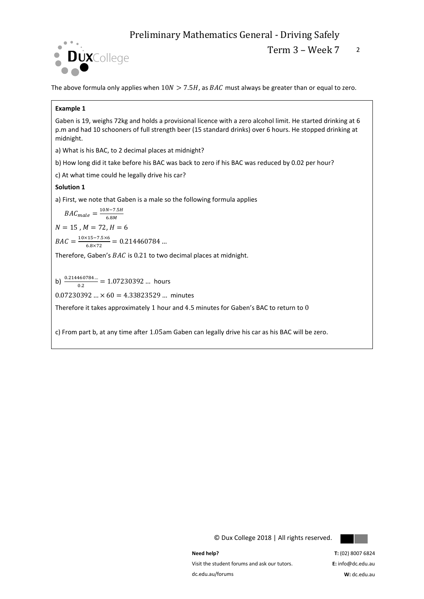

The above formula only applies when  $10N > 7.5H$ , as  $BAC$  must always be greater than or equal to zero.

#### **Example 1**

Gaben is 19, weighs 72kg and holds a provisional licence with a zero alcohol limit. He started drinking at 6 p.m and had 10 schooners of full strength beer (15 standard drinks) over 6 hours. He stopped drinking at midnight.

a) What is his BAC, to 2 decimal places at midnight?

b) How long did it take before his BAC was back to zero if his BAC was reduced by 0.02 per hour?

c) At what time could he legally drive his car?

#### **Solution 1**

a) First, we note that Gaben is a male so the following formula applies

$$
BAC_{male} = \frac{10N - 7.5H}{6.8M}
$$

 $N = 15$ ,  $M = 72$ ,  $H = 6$ 

 $BAC = \frac{10 \times 15 - 7.5 \times 6}{6.0 \times 73}$  $\frac{(15-7.3\times6)}{6.8\times72} = 0.214460784...$ 

Therefore, Gaben's  $BAC$  is 0.21 to two decimal places at midnight.

b)  $\frac{0.214460784...}{0.2} = 1.07230392...$  hours

 $0.07230392... \times 60 = 4.33823529...$  minutes

Therefore it takes approximately 1 hour and 4.5 minutes for Gaben's BAC to return to 0

c) From part b, at any time after 1.05am Gaben can legally drive his car as his BAC will be zero.

© Dux College 2018 | All rights reserved.



**Need help?** 

Visit the student forums and ask our tutors. dc.edu.au/forums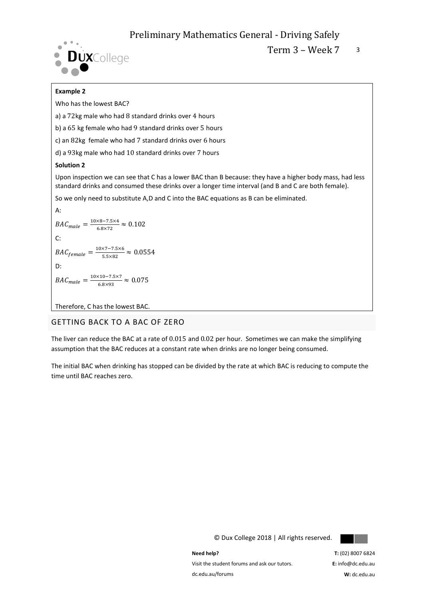

Term  $3 -$  Week  $7 - 3$ 

## **Example 2**

Who has the lowest BAC?

a) a 72kg male who had 8 standard drinks over 4 hours

b) a 65 kg female who had 9 standard drinks over 5 hours

c) an 82kg female who had 7 standard drinks over 6 hours

d) a 93kg male who had 10 standard drinks over 7 hours

#### **Solution 2**

Upon inspection we can see that C has a lower BAC than B because: they have a higher body mass, had less standard drinks and consumed these drinks over a longer time interval (and B and C are both female).

So we only need to substitute A,D and C into the BAC equations as B can be eliminated.

A:  
\n
$$
BAC_{male} = \frac{10 \times 8 - 7.5 \times 4}{6.8 \times 72} \approx 0.102
$$
\nC:  
\n
$$
BAC_{female} = \frac{10 \times 7 - 7.5 \times 6}{5.5 \times 82} \approx 0.0554
$$
\nD:  
\n
$$
BAC_{male} = \frac{10 \times 10 - 7.5 \times 7}{6.8 \times 93} \approx 0.075
$$

Therefore, C has the lowest BAC.

## GETTING BACK TO A BAC OF ZERO

The liver can reduce the BAC at a rate of 0.015 and 0.02 per hour. Sometimes we can make the simplifying assumption that the BAC reduces at a constant rate when drinks are no longer being consumed.

The initial BAC when drinking has stopped can be divided by the rate at which BAC is reducing to compute the time until BAC reaches zero.



© Dux College 2018 | All rights reserved.

**Need help?**  Visit the student forums and ask our tutors. dc.edu.au/forums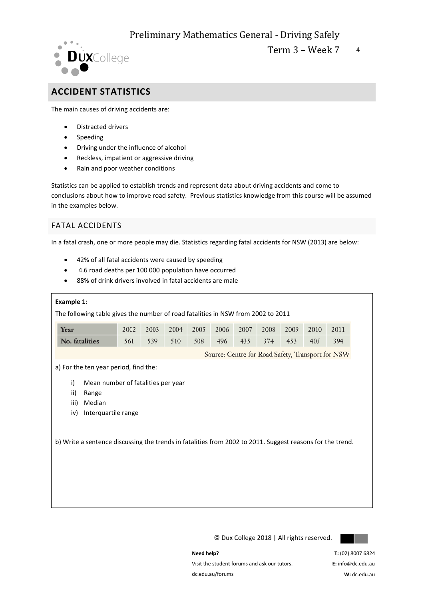

Term  $3 -$  Week  $7 - 4$ 

## **ACCIDENT STATISTICS**

The main causes of driving accidents are:

- Distracted drivers
- Speeding
- Driving under the influence of alcohol
- Reckless, impatient or aggressive driving
- Rain and poor weather conditions

Statistics can be applied to establish trends and represent data about driving accidents and come to conclusions about how to improve road safety. Previous statistics knowledge from this course will be assumed in the examples below.

## FATAL ACCIDENTS

In a fatal crash, one or more people may die. Statistics regarding fatal accidents for NSW (2013) are below:

- 42% of all fatal accidents were caused by speeding
- 4.6 road deaths per 100 000 population have occurred
- 88% of drink drivers involved in fatal accidents are male

| Example 1:                                                                                                                                                                                                                                                     |      |      |      |      |      |      |      |      |      |                                                   |
|----------------------------------------------------------------------------------------------------------------------------------------------------------------------------------------------------------------------------------------------------------------|------|------|------|------|------|------|------|------|------|---------------------------------------------------|
| The following table gives the number of road fatalities in NSW from 2002 to 2011                                                                                                                                                                               |      |      |      |      |      |      |      |      |      |                                                   |
| Year                                                                                                                                                                                                                                                           | 2002 | 2003 | 2004 | 2005 | 2006 | 2007 | 2008 | 2009 | 2010 | 2011                                              |
| No. fatalities                                                                                                                                                                                                                                                 | 561  | 539  | 510  | 508  | 496  | 435  | 374  | 453  | 405  | 394                                               |
|                                                                                                                                                                                                                                                                |      |      |      |      |      |      |      |      |      | Source: Centre for Road Safety, Transport for NSW |
|                                                                                                                                                                                                                                                                |      |      |      |      |      |      |      |      |      |                                                   |
| a) For the ten year period, find the:<br>Mean number of fatalities per year<br>i)<br>ii)<br>Range<br>iii)<br>Median<br>Interquartile range<br>iv)<br>b) Write a sentence discussing the trends in fatalities from 2002 to 2011. Suggest reasons for the trend. |      |      |      |      |      |      |      |      |      |                                                   |

© Dux College 2018 | All rights reserved.



**Need help?** 

Visit the student forums and ask our tutors. dc.edu.au/forums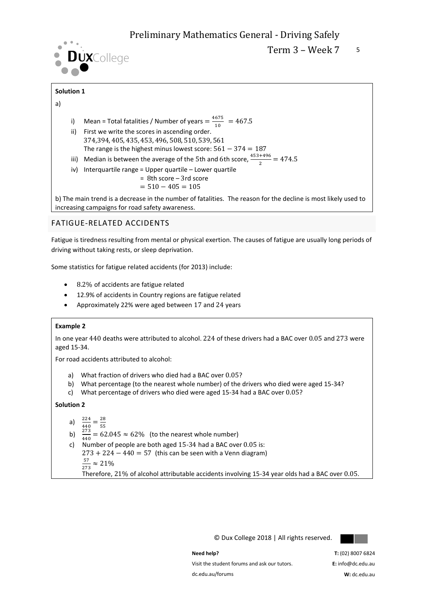

Term  $3 -$  Week  $7 - 5$ 

## **Solution 1**

## a)

- i) Mean = Total fatalities / Number of years  $=\frac{4675}{10}$  $\frac{10^{13}}{10}$  = 467.5
- ii) First we write the scores in ascending order. 374,394, 405, 435, 453, 496, 508, 510, 539, 561 The range is the highest minus lowest score:  $561 - 374 = 187$
- iii) Median is between the average of the 5th and 6th score,  $\frac{453+496}{2} = 474.5$
- iv) Interquartile range = Upper quartile Lower quartile

$$
= 8th score - 3rd score
$$

$$
= 510 - 405 = 105
$$

b) The main trend is a decrease in the number of fatalities. The reason for the decline is most likely used to increasing campaigns for road safety awareness.

## FATIGUE-RELATED ACCIDENTS

Fatigue is tiredness resulting from mental or physical exertion. The causes of fatigue are usually long periods of driving without taking rests, or sleep deprivation.

Some statistics for fatigue related accidents (for 2013) include:

- 8.2% of accidents are fatigue related
- 12.9% of accidents in Country regions are fatigue related
- Approximately 22% were aged between 17 and 24 years

### **Example 2**

In one year 440 deaths were attributed to alcohol. 224 of these drivers had a BAC over 0.05 and 273 were aged 15-34.

For road accidents attributed to alcohol:

- a) What fraction of drivers who died had a BAC over 0.05?
- b) What percentage (to the nearest whole number) of the drivers who died were aged 15-34?
- c) What percentage of drivers who died were aged 15-34 had a BAC over 0.05?

**Solution 2**

$$
a) \quad \frac{224}{ } = \frac{28}{ }
$$

- 
- a)  $\frac{224}{440} = \frac{28}{55}$ <br>b)  $\frac{273}{440} = 62.045 ≈ 62%$  (to the nearest whole number)
- c) Number of people are both aged 15-34 had a BAC over 0.05 is:  $273 + 224 - 440 = 57$  (this can be seen with a Venn diagram) 57  $\frac{37}{273} \approx 21\%$ Therefore, 21% of alcohol attributable accidents involving 15-34 year olds had a BAC over 0.05.

© Dux College 2018 | All rights reserved.



#### **Need help?**

Visit the student forums and ask our tutors.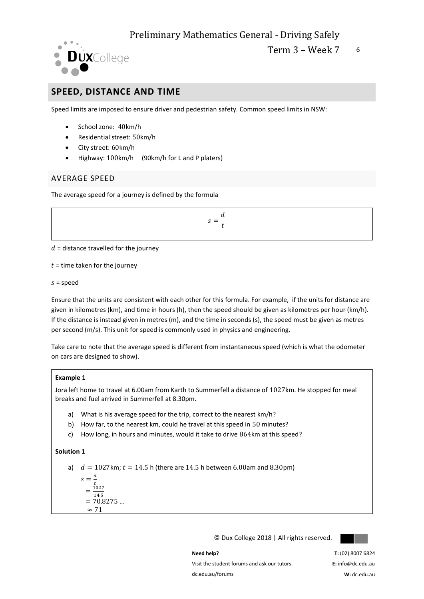

## **SPEED, DISTANCE AND TIME**

Speed limits are imposed to ensure driver and pedestrian safety. Common speed limits in NSW:

- School zone: 40km/h
- Residential street: 50km/h
- City street: 60km/h
- Highway: 100km/h (90km/h for L and P platers)

## AVERAGE SPEED

The average speed for a journey is defined by the formula

 $s=\frac{d}{t}$  $t$ 

 $d$  = distance travelled for the journey

 $t =$  time taken for the journey

 $s = speed$ 

Ensure that the units are consistent with each other for this formula. For example, if the units for distance are given in kilometres (km), and time in hours (h), then the speed should be given as kilometres per hour (km/h). If the distance is instead given in metres (m), and the time in seconds (s), the speed must be given as metres per second (m/s). This unit for speed is commonly used in physics and engineering.

Take care to note that the average speed is different from instantaneous speed (which is what the odometer on cars are designed to show).

## **Example 1**

Jora left home to travel at 6.00am from Karth to Summerfell a distance of 1027km. He stopped for meal breaks and fuel arrived in Summerfell at 8.30pm.

- a) What is his average speed for the trip, correct to the nearest km/h?
- b) How far, to the nearest km, could he travel at this speed in 50 minutes?
- c) How long, in hours and minutes, would it take to drive 864km at this speed?

## **Solution 1**

a)  $d = 1027$ km;  $t = 14.5$  h (there are 14.5 h between 6.00am and 8.30pm)

$$
s = \frac{d}{t} \n= \frac{1027}{14.5} \n= 70.8275 ... \n\approx 71
$$

© Dux College 2018 | All rights reserved.



**Need help?** 

Visit the student forums and ask our tutors. dc.edu.au/forums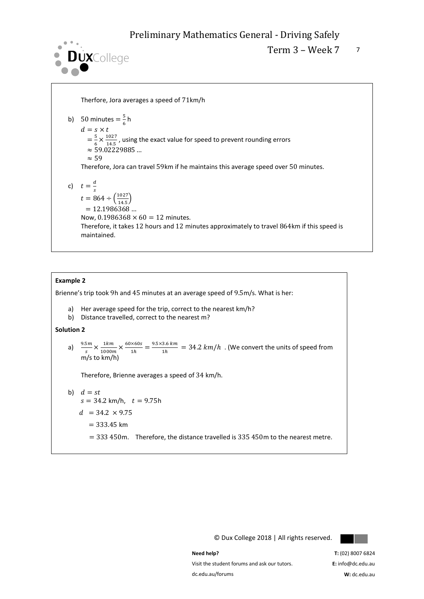

Term  $3 -$  Week  $7 - 7$ 

Therfore, Jora averages a speed of 71km/h

\n- b) 50 minutes = 
$$
\frac{5}{6}
$$
 h
\n- $d = s \times t$
\n- $= \frac{5}{6} \times \frac{1027}{14.5}$ , using the exact value for speed to prevent rounding errors
\n- $\approx$  59.02229885 ...
\n- $\approx$  59
\n
\nTherefore, Jora can travel 59km if he maintains this average speed over 50 minutes.

\n\n- c)  $t = \frac{d}{s}$
\n- $t = 864 \div \left(\frac{1027}{14.5}\right)$
\n- $= 12.1986368$  ...
\n
\nNow, 0.1986368 × 60 = 12 minutes.

\nTherefore, it takes 12 hours and 12 minutes approximately to travel 864km if this speed is maintained.

## **Example 2**

Brienne's trip took 9h and 45 minutes at an average speed of 9.5m/s. What is her:

- a) Her average speed for the trip, correct to the nearest km/h?
- b) Distance travelled, correct to the nearest m?

**Solution 2**

a)  $\frac{9.5m}{s} \times \frac{1km}{1000n}$  $\frac{1km}{1000m} \times \frac{60\times60s}{1h}$  $\frac{\times 60s}{1h} = \frac{9.5 \times 3.6 \text{ km}}{1h}$  $\frac{3.5 \text{ km}}{1h}$  = 34.2 km/h. (We convert the units of speed from m/s to km/h)

Therefore, Brienne averages a speed of 34 km/h.

b) 
$$
d = st
$$
  
\n $s = 34.2 \text{ km/h}, t = 9.75\text{h}$   
\n $d = 34.2 \times 9.75$   
\n $= 333.45 \text{ km}$   
\n $= 333.450\text{m}$ . Therefore, the distance travelled is 335.450m to the nearest metre.

© Dux College 2018 | All rights reserved.



Visit the student forums and ask our tutors. dc.edu.au/forums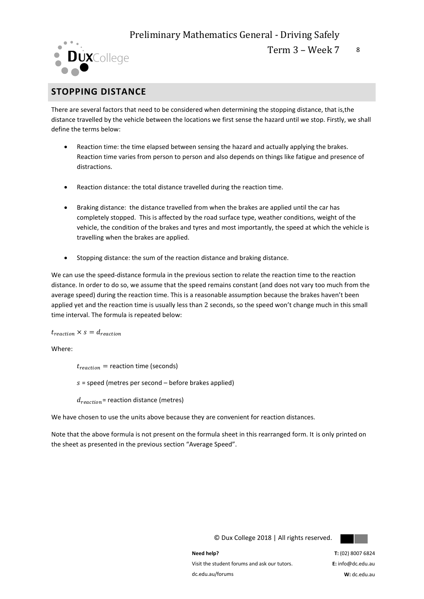

Term  $3 -$  Week  $7 - 8$ 

## **STOPPING DISTANCE**

There are several factors that need to be considered when determining the stopping distance, that is,the distance travelled by the vehicle between the locations we first sense the hazard until we stop. Firstly, we shall define the terms below:

- Reaction time: the time elapsed between sensing the hazard and actually applying the brakes. Reaction time varies from person to person and also depends on things like fatigue and presence of distractions.
- Reaction distance: the total distance travelled during the reaction time.
- Braking distance: the distance travelled from when the brakes are applied until the car has completely stopped. This is affected by the road surface type, weather conditions, weight of the vehicle, the condition of the brakes and tyres and most importantly, the speed at which the vehicle is travelling when the brakes are applied.
- Stopping distance: the sum of the reaction distance and braking distance.

We can use the speed-distance formula in the previous section to relate the reaction time to the reaction distance. In order to do so, we assume that the speed remains constant (and does not vary too much from the average speed) during the reaction time. This is a reasonable assumption because the brakes haven't been applied yet and the reaction time is usually less than 2 seconds, so the speed won't change much in this small time interval. The formula is repeated below:

## $t_{reaction} \times s = d_{reaction}$

Where:

 $t_{reaction}$  = reaction time (seconds)

 $s =$  speed (metres per second – before brakes applied)

 $d_{reaction}$ = reaction distance (metres)

We have chosen to use the units above because they are convenient for reaction distances.

Note that the above formula is not present on the formula sheet in this rearranged form. It is only printed on the sheet as presented in the previous section "Average Speed".

**Need help?**  Visit the student forums and ask our tutors. dc.edu.au/forums

© Dux College 2018 | All rights reserved.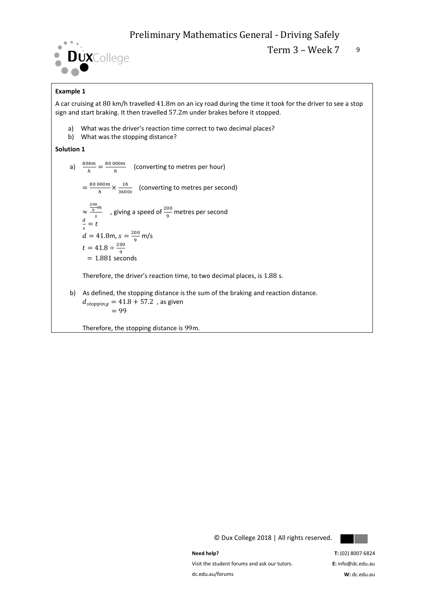

## **Example 1**

A car cruising at 80 km/h travelled 41.8m on an icy road during the time it took for the driver to see a stop sign and start braking. It then travelled 57.2m under brakes before it stopped.

- a) What was the driver's reaction time correct to two decimal places?
- b) What was the stopping distance?

### **Solution 1**

a)  $\frac{80km}{h} = \frac{80000m}{h}$  $\frac{1}{h}$  (converting to metres per hour)  $=\frac{80\,000m}{h}\times\frac{1h}{26000}$  (converting to metres per second) h 3600s ≈  $\frac{200}{9}m$  $\frac{2m}{s}$  , giving a speed of  $\frac{200}{9}$  metres per second  $\boldsymbol{d}$  $\frac{a}{s}=t$  $d = 41.8$ m,  $s = \frac{200}{0.6}$  $\frac{50}{9}$  m/s  $t = 41.8 \div \frac{200}{0}$ 9  $= 1.881$  seconds Therefore, the driver's reaction time, to two decimal places, is 1.88 s.

b) As defined, the stopping distance is the sum of the braking and reaction distance.  $d_{stopping} = 41.8 + 57.2$ , as given  $= 99$ 

Therefore, the stopping distance is 99m.



© Dux College 2018 | All rights reserved.

**Need help?**  Visit the student forums and ask our tutors. dc.edu.au/forums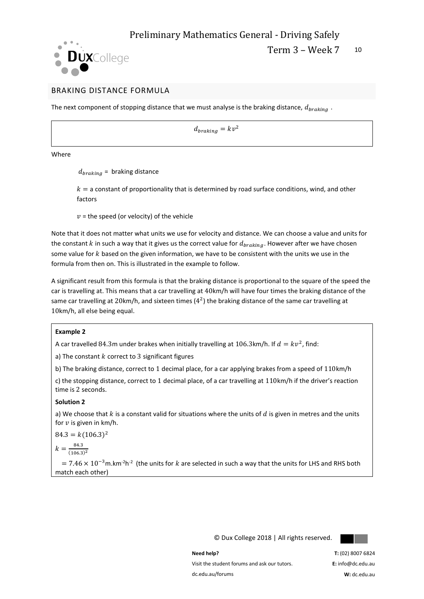



## BRAKING DISTANCE FORMULA

The next component of stopping distance that we must analyse is the braking distance,  $d_{braking}$ .

 $d_{braking} = kv^2$ 

Where

 $d_{braking}$  = braking distance

 $k =$  a constant of proportionality that is determined by road surface conditions, wind, and other factors

 $v$  = the speed (or velocity) of the vehicle

Note that it does not matter what units we use for velocity and distance. We can choose a value and units for the constant  $k$  in such a way that it gives us the correct value for  $d_{braking}$ . However after we have chosen some value for  $k$  based on the given information, we have to be consistent with the units we use in the formula from then on. This is illustrated in the example to follow.

A significant result from this formula is that the braking distance is proportional to the square of the speed the car is travelling at. This means that a car travelling at 40km/h will have four times the braking distance of the same car travelling at 20km/h, and sixteen times ( $4^2$ ) the braking distance of the same car travelling at 10km/h, all else being equal.

#### **Example 2**

A car travelled 84.3m under brakes when initially travelling at 106.3km/h. If  $d = kv^2$ , find:

a) The constant  $k$  correct to 3 significant figures

b) The braking distance, correct to 1 decimal place, for a car applying brakes from a speed of 110km/h

c) the stopping distance, correct to 1 decimal place, of a car travelling at 110km/h if the driver's reaction time is 2 seconds.

### **Solution 2**

a) We choose that  $k$  is a constant valid for situations where the units of  $d$  is given in metres and the units for  $v$  is given in km/h.

 $84.3 = k(106.3)^2$ 

 $k = \frac{84.3}{(106.3)}$ 

 $(106.3)^2$ 

 $= 7.46 \times 10^{-3}$ m.km<sup>-2</sup>h<sup>-2</sup> (the units for k are selected in such a way that the units for LHS and RHS both match each other)

© Dux College 2018 | All rights reserved.



**Need help?** 

Visit the student forums and ask our tutors. dc.edu.au/forums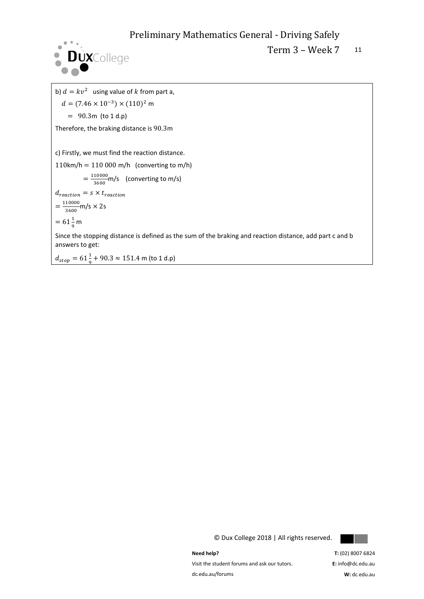

Term 3 - Week 7 11

b)  $d = kv^2$  using value of k from part a,  $d = (7.46 \times 10^{-3}) \times (110)^2$  m  $= 90.3m$  (to 1 d.p) Therefore, the braking distance is 90.3m c) Firstly, we must find the reaction distance.  $110$ km/h =  $110000$  m/h (converting to m/h)  $=\frac{110000}{3600}$  $\frac{10000}{3600}$ m/s (converting to m/s)  $d_{reaction} = s \times t_{reaction}$  $=\frac{110000}{3600}$  $\frac{10000}{3600}$ m/s  $\times$  2s  $= 61\frac{1}{9}$  m Since the stopping distance is defined as the sum of the braking and reaction distance, add part c and b answers to get:

 $d_{stop} = 61\frac{1}{9} + 90.3 \approx 151.4$  m (to 1 d.p)

© Dux College 2018 | All rights reserved.



**Need help?** 

Visit the student forums and ask our tutors. dc.edu.au/forums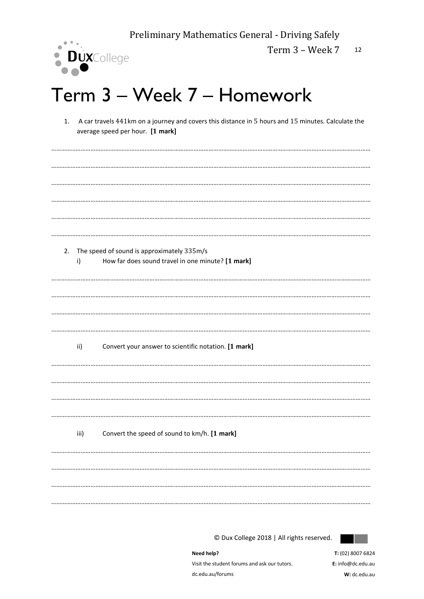

Term 3 - Week 7 12

## Term 3 - Week 7 - Homework

1. A car travels 441km on a journey and covers this distance in 5 hours and 15 minutes. Calculate the average speed per hour. [1 mark]

| i)   | 2. The speed of sound is approximately 335m/s<br>How far does sound travel in one minute? [1 mark] |
|------|----------------------------------------------------------------------------------------------------|
|      |                                                                                                    |
| ii)  | Convert your answer to scientific notation. [1 mark]                                               |
|      |                                                                                                    |
| iii) | Convert the speed of sound to km/h. [1 mark]                                                       |
|      |                                                                                                    |

© Dux College 2018 | All rights reserved.



Need help? Visit the student forums and ask our tutors. dc.edu.au/forums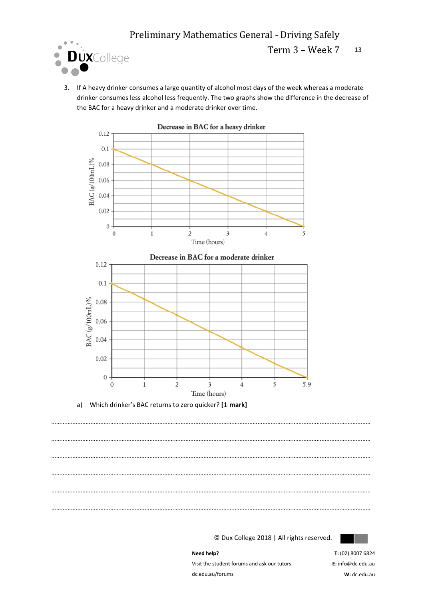

Term 3 – Week 7 13

3. If A heavy drinker consumes a large quantity of alcohol most days of the week whereas a moderate drinker consumes less alcohol less frequently. The two graphs show the difference in the decrease of the BAC for a heavy drinker and a moderate drinker over time.





…………………………………………………………………………………………………………………………………………………………………………… …………………………………………………………………………………………………………………………………………………………………………… …………………………………………………………………………………………………………………………………………………………………………… …………………………………………………………………………………………………………………………………………………………………………… …………………………………………………………………………………………………………………………………………………………………………… ……………………………………………………………………………………………………………………………………………………………………………

© Dux College 2018 | All rights reserved.



**Need help?** 

Visit the student forums and ask our tutors. dc.edu.au/forums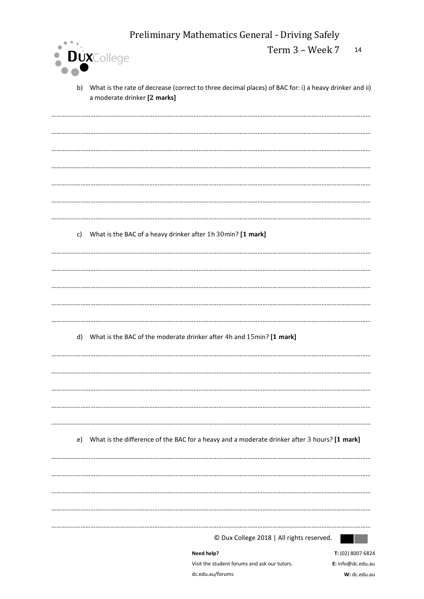|    |                                                                         | Preliminary Mathematics General - Driving Safely                                                      |                                   |
|----|-------------------------------------------------------------------------|-------------------------------------------------------------------------------------------------------|-----------------------------------|
|    |                                                                         | Term 3 - Week 7                                                                                       | 14                                |
|    | · DuxCollege                                                            |                                                                                                       |                                   |
| b) | a moderate drinker [2 marks]                                            | What is the rate of decrease (correct to three decimal places) of BAC for: i) a heavy drinker and ii) |                                   |
|    |                                                                         |                                                                                                       |                                   |
|    |                                                                         |                                                                                                       |                                   |
|    |                                                                         |                                                                                                       |                                   |
|    |                                                                         |                                                                                                       |                                   |
|    |                                                                         |                                                                                                       |                                   |
|    |                                                                         |                                                                                                       |                                   |
|    |                                                                         |                                                                                                       |                                   |
|    | c) What is the BAC of a heavy drinker after 1h 30min? [1 mark]          |                                                                                                       |                                   |
|    |                                                                         |                                                                                                       |                                   |
|    |                                                                         |                                                                                                       |                                   |
|    |                                                                         |                                                                                                       |                                   |
|    |                                                                         |                                                                                                       |                                   |
|    |                                                                         |                                                                                                       |                                   |
|    | d) What is the BAC of the moderate drinker after 4h and 15min? [1 mark] |                                                                                                       |                                   |
|    |                                                                         |                                                                                                       |                                   |
|    |                                                                         |                                                                                                       |                                   |
|    |                                                                         |                                                                                                       |                                   |
|    |                                                                         |                                                                                                       |                                   |
|    |                                                                         |                                                                                                       |                                   |
|    |                                                                         | e) What is the difference of the BAC for a heavy and a moderate drinker after 3 hours? [1 mark]       |                                   |
|    |                                                                         |                                                                                                       |                                   |
|    |                                                                         |                                                                                                       |                                   |
|    |                                                                         |                                                                                                       |                                   |
|    |                                                                         |                                                                                                       |                                   |
|    |                                                                         |                                                                                                       |                                   |
|    |                                                                         | © Dux College 2018   All rights reserved.                                                             |                                   |
|    |                                                                         | Need help?                                                                                            | T: (02) 8007 6824                 |
|    |                                                                         | Visit the student forums and ask our tutors.<br>dc.edu.au/forums                                      | E: info@dc.edu.au<br>W: dc.edu.au |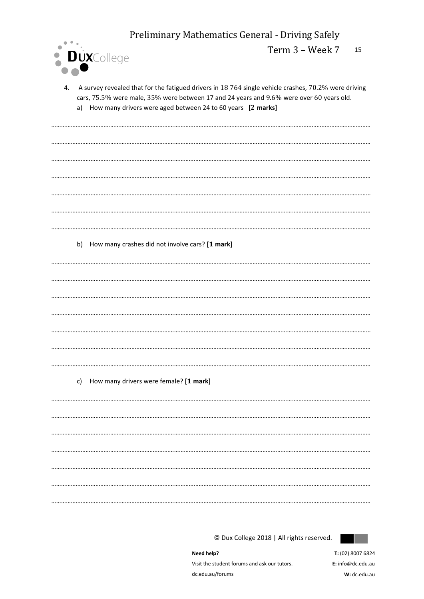

A survey revealed that for the fatigued drivers in 18 764 single vehicle crashes, 70.2% were driving 4. cars, 75.5% were male, 35% were between 17 and 24 years and 9.6% were over 60 years old. a) How many drivers were aged between 24 to 60 years [2 marks]

b) How many crashes did not involve cars? [1 mark] 

## c) How many drivers were female? [1 mark]



© Dux College 2018 | All rights reserved.

Need help? Visit the student forums and ask our tutors. dc.edu.au/forums

T: (02) 8007 6824 E: info@dc.edu.au  $W \cdot$  de edu au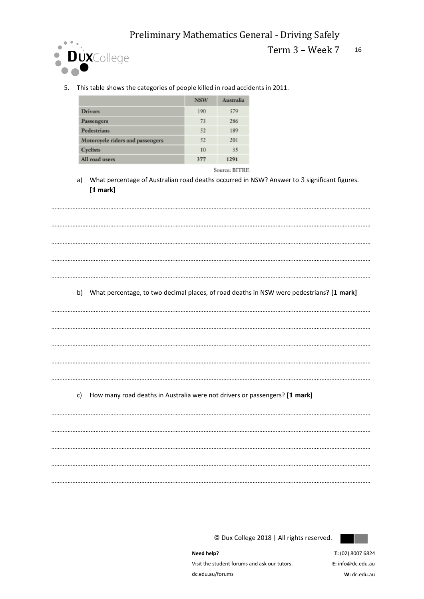

## Term 3 – Week 7 16

5. This table shows the categories of people killed in road accidents in 2011.

|                                  | <b>NSW</b> | Australia |
|----------------------------------|------------|-----------|
| <b>Drivers</b>                   | 190        | 579       |
| Passengers                       | 73         | 286       |
| Pedestrians                      | 52         | 189       |
| Motorcycle riders and passengers | 52         | 201       |
| Cyclists                         | 10         | 35        |
| All road users                   | 377        | 1291      |

Source: BITRE

a) What percentage of Australian road deaths occurred in NSW? Answer to 3 significant figures. **[ mark]**

……………………………………………………………………………………………………………………………………………………………………………

……………………………………………………………………………………………………………………………………………………………………………

……………………………………………………………………………………………………………………………………………………………………………

……………………………………………………………………………………………………………………………………………………………………………

……………………………………………………………………………………………………………………………………………………………………………

……………………………………………………………………………………………………………………………………………………………………………

……………………………………………………………………………………………………………………………………………………………………………

……………………………………………………………………………………………………………………………………………………………………………

……………………………………………………………………………………………………………………………………………………………………………

……………………………………………………………………………………………………………………………………………………………………………

……………………………………………………………………………………………………………………………………………………………………………

b) What percentage, to two decimal places, of road deaths in NSW were pedestrians? **[ mark]**

c) How many road deaths in Australia were not drivers or passengers? **[ mark]**

…………………………………………………………………………………………………………………………………………………………………………… …………………………………………………………………………………………………………………………………………………………………………… …………………………………………………………………………………………………………………………………………………………………………… ……………………………………………………………………………………………………………………………………………………………………………

© Dux College 2018 | All rights reserved.



**Need help?**  Visit the student forums and ask our tutors. dc.edu.au/forums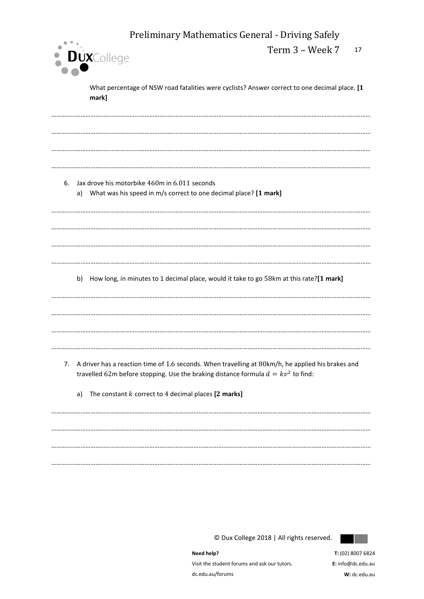| Preliminary Mathematics General - Driving Safely                                                                                                                                               |    |  |  |  |  |  |
|------------------------------------------------------------------------------------------------------------------------------------------------------------------------------------------------|----|--|--|--|--|--|
| Term 3 - Week 7<br><b>DUX</b> College                                                                                                                                                          | 17 |  |  |  |  |  |
| What percentage of NSW road fatalities were cyclists? Answer correct to one decimal place. [1<br>mark]                                                                                         |    |  |  |  |  |  |
|                                                                                                                                                                                                |    |  |  |  |  |  |
|                                                                                                                                                                                                |    |  |  |  |  |  |
| Jax drove his motorbike 460m in 6.011 seconds<br>6.<br>What was his speed in m/s correct to one decimal place? [1 mark]<br>a)                                                                  |    |  |  |  |  |  |
|                                                                                                                                                                                                |    |  |  |  |  |  |
|                                                                                                                                                                                                |    |  |  |  |  |  |
| How long, in minutes to 1 decimal place, would it take to go 58km at this rate?[1 mark]<br>b)                                                                                                  |    |  |  |  |  |  |
|                                                                                                                                                                                                |    |  |  |  |  |  |
|                                                                                                                                                                                                |    |  |  |  |  |  |
| A driver has a reaction time of 1.6 seconds. When travelling at 80km/h, he applied his brakes and<br>7.<br>travelled 62m before stopping. Use the braking distance formula $d = kv^2$ to find: |    |  |  |  |  |  |
| The constant $k$ correct to 4 decimal places $[2$ marks]<br>a)                                                                                                                                 |    |  |  |  |  |  |
|                                                                                                                                                                                                |    |  |  |  |  |  |
|                                                                                                                                                                                                |    |  |  |  |  |  |

……………………………………………………………………………………………………………………………………………………………………………

© Dux College 2018 | All rights reserved.



**Need help?**  Visit the student forums and ask our tutors. dc.edu.au/forums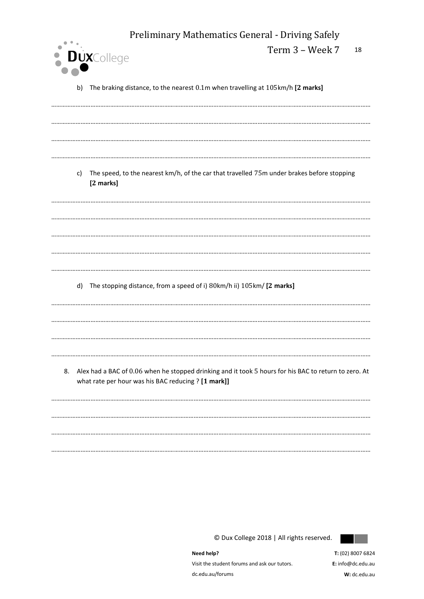|    | Preliminary Mathematics General - Driving Safely                                                                                                             |                 |    |  |  |  |  |  |  |
|----|--------------------------------------------------------------------------------------------------------------------------------------------------------------|-----------------|----|--|--|--|--|--|--|
|    | <b>DUX</b> College                                                                                                                                           | Term 3 - Week 7 | 18 |  |  |  |  |  |  |
|    | b) The braking distance, to the nearest 0.1m when travelling at 105km/h [2 marks]                                                                            |                 |    |  |  |  |  |  |  |
|    |                                                                                                                                                              |                 |    |  |  |  |  |  |  |
|    |                                                                                                                                                              |                 |    |  |  |  |  |  |  |
|    |                                                                                                                                                              |                 |    |  |  |  |  |  |  |
|    | c) The speed, to the nearest km/h, of the car that travelled 75m under brakes before stopping<br>[2 marks]                                                   |                 |    |  |  |  |  |  |  |
|    |                                                                                                                                                              |                 |    |  |  |  |  |  |  |
|    |                                                                                                                                                              |                 |    |  |  |  |  |  |  |
|    |                                                                                                                                                              |                 |    |  |  |  |  |  |  |
|    |                                                                                                                                                              |                 |    |  |  |  |  |  |  |
|    | d) The stopping distance, from a speed of i) 80km/h ii) 105km/ [2 marks]                                                                                     |                 |    |  |  |  |  |  |  |
|    |                                                                                                                                                              |                 |    |  |  |  |  |  |  |
|    |                                                                                                                                                              |                 |    |  |  |  |  |  |  |
|    |                                                                                                                                                              |                 |    |  |  |  |  |  |  |
| 8. | Alex had a BAC of 0.06 when he stopped drinking and it took 5 hours for his BAC to return to zero. At<br>what rate per hour was his BAC reducing ? [1 mark]] |                 |    |  |  |  |  |  |  |
|    |                                                                                                                                                              |                 |    |  |  |  |  |  |  |
|    |                                                                                                                                                              |                 |    |  |  |  |  |  |  |
|    |                                                                                                                                                              |                 |    |  |  |  |  |  |  |



© Dux College 2018 | All rights reserved.

Need help? Visit the student forums and ask our tutors. dc.edu.au/forums